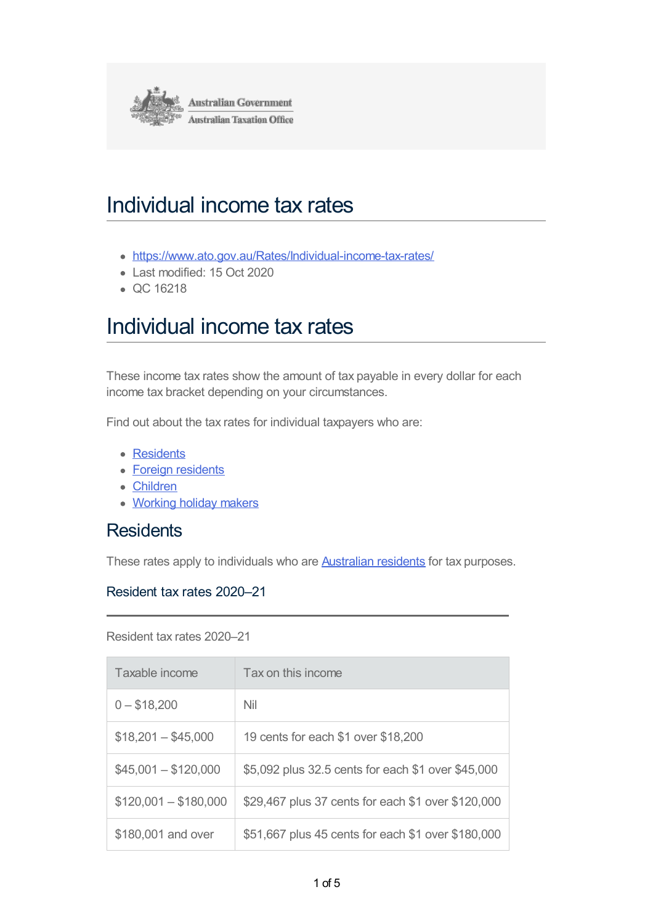<span id="page-0-0"></span>

# Individual income tax rates

- <https://www.ato.gov.au/Rates/Individual-income-tax-rates/>
- Last modified: 15 Oct 2020
- QC 16218

# Individual income tax rates

These income tax rates show the amount of tax payable in every dollar for each income tax bracket depending on your circumstances.

Find out about the tax rates for individual taxpayers who are:

- [Residents](#page-0-0)
- Foreign [residents](#page-0-0)
- [Children](#page-0-0)
- [Working](#page-0-0) holiday makers

### **Residents**

These rates apply to individuals who are **[Australian](https://www.ato.gov.au/Individuals/International-tax-for-individuals/Work-out-your-tax-residency/) residents** for tax purposes.

#### Resident tax rates 2020–21

Resident tax rates 2020–21

| Taxable income        | Tax on this income                                 |
|-----------------------|----------------------------------------------------|
| $0 - $18,200$         | Nil                                                |
| $$18,201 - $45,000$   | 19 cents for each \$1 over \$18,200                |
| $$45,001 - $120,000$  | \$5,092 plus 32.5 cents for each \$1 over \$45,000 |
| $$120,001 - $180,000$ | \$29,467 plus 37 cents for each \$1 over \$120,000 |
| \$180,001 and over    | \$51,667 plus 45 cents for each \$1 over \$180,000 |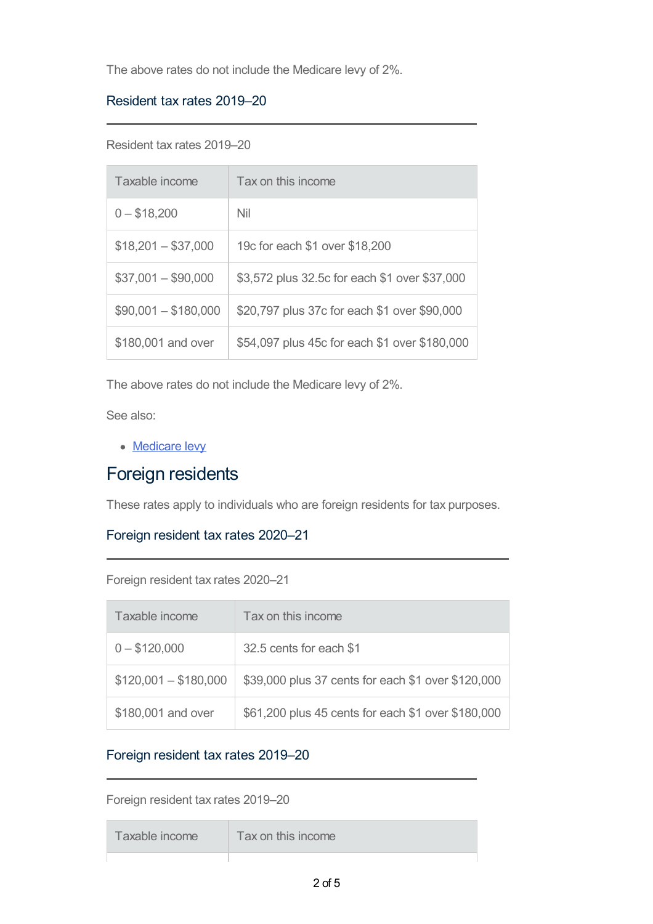The above rates do not include the Medicare levy of 2%.

### Resident tax rates 2019–20

Resident tax rates 2019–20

| Taxable income       | Tax on this income                            |
|----------------------|-----------------------------------------------|
| $0 - $18,200$        | Nil                                           |
| $$18,201 - $37,000$  | 19c for each \$1 over \$18,200                |
| $$37,001 - $90,000$  | \$3,572 plus 32.5c for each \$1 over \$37,000 |
| $$90,001 - $180,000$ | \$20,797 plus 37c for each \$1 over \$90,000  |
| \$180,001 and over   | \$54,097 plus 45c for each \$1 over \$180,000 |

The above rates do not include the Medicare levy of 2%.

See also:

• [Medicare](https://www.ato.gov.au/Individuals/Medicare-levy/) levy

## Foreign residents

These rates apply to individuals who are foreign residents for tax purposes.

### Foreign resident tax rates 2020–21

Foreign resident tax rates 2020–21

| Taxable income        | Tax on this income                                 |
|-----------------------|----------------------------------------------------|
| $0 - $120,000$        | 32.5 cents for each \$1                            |
| $$120,001 - $180,000$ | \$39,000 plus 37 cents for each \$1 over \$120,000 |
| \$180,001 and over    | \$61,200 plus 45 cents for each \$1 over \$180,000 |

### Foreign resident tax rates 2019–20

Foreign resident tax rates 2019–20

| Taxable income | Tax on this income |  |
|----------------|--------------------|--|
|                |                    |  |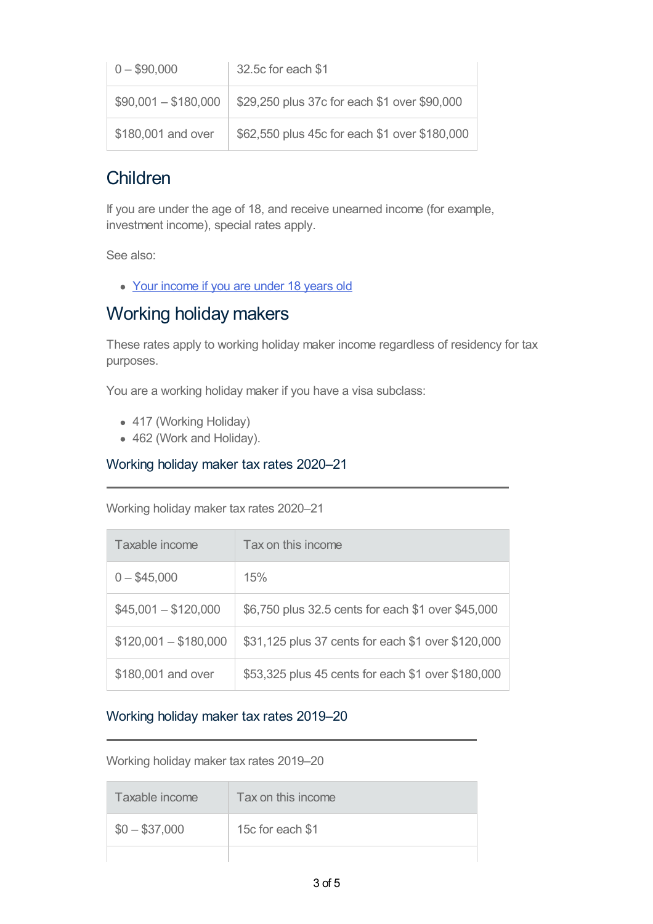| $0 - $90,000$        | 32.5c for each \$1                            |
|----------------------|-----------------------------------------------|
| $$90,001 - $180,000$ | \$29,250 plus 37c for each \$1 over \$90,000  |
| \$180,001 and over   | \$62,550 plus 45c for each \$1 over \$180,000 |

## Children

If you are under the age of 18, and receive unearned income (for example, investment income), special rates apply.

See also:

• Your [income](https://www.ato.gov.au/Individuals/Investing/In-detail/Children-and-under-18s/Your-income-if-you-are-under-18-years-old/) if you are under 18 years old

### Working holiday makers

These rates apply to working holiday maker income regardless of residency for tax purposes.

You are a working holiday maker if you have a visa subclass:

- 417 (Working Holiday)
- 462 (Work and Holiday).

#### Working holiday maker tax rates 2020–21

Working holiday maker tax rates 2020–21

| Taxable income        | Tax on this income                                 |
|-----------------------|----------------------------------------------------|
| $0 - $45,000$         | 15%                                                |
| $$45,001 - $120,000$  | \$6,750 plus 32.5 cents for each \$1 over \$45,000 |
| $$120,001 - $180,000$ | \$31,125 plus 37 cents for each \$1 over \$120,000 |
| \$180,001 and over    | \$53,325 plus 45 cents for each \$1 over \$180,000 |

#### Working holiday maker tax rates 2019–20

Working holiday maker tax rates 2019–20

| Taxable income | Tax on this income |
|----------------|--------------------|
| $$0 - $37,000$ | 15c for each \$1   |
|                |                    |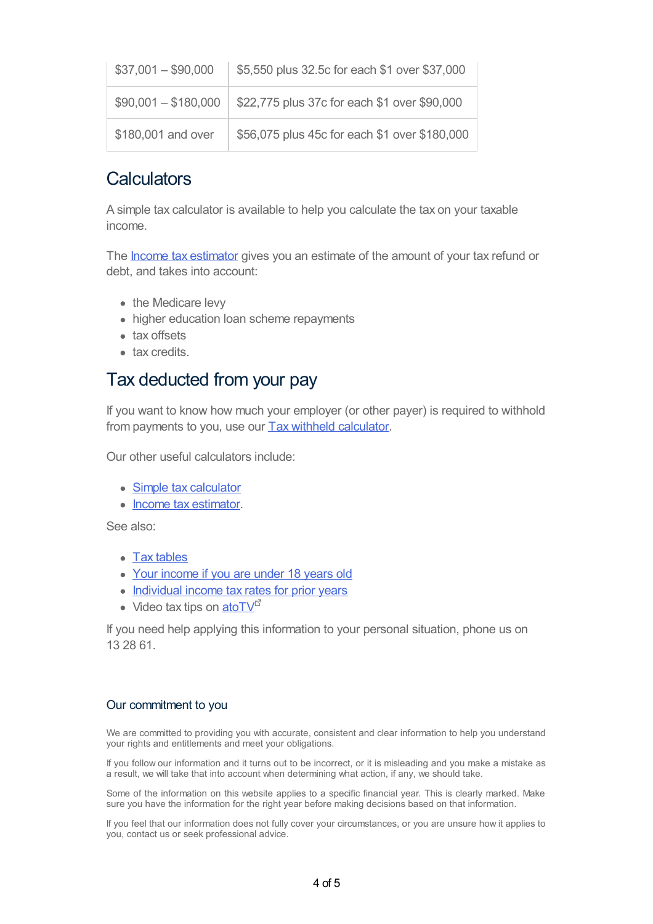| $$37,001 - $90,000$  | \$5,550 plus 32.5c for each \$1 over \$37,000 |
|----------------------|-----------------------------------------------|
| $$90,001 - $180,000$ | \$22,775 plus 37c for each \$1 over \$90,000  |
| \$180,001 and over   | \$56,075 plus 45c for each \$1 over \$180,000 |

## **Calculators**

A simple tax calculator is available to help you calculate the tax on your taxable income.

The **Income tax [estimator](https://www.ato.gov.au/calculators-and-tools/income-tax-estimator/)** gives you an estimate of the amount of your tax refund or debt, and takes into account:

- the Medicare levy
- higher education loan scheme repayments
- tax offsets
- tax credits

### Tax deducted from your pay

If you want to know how much your employer (or other payer) is required to withhold from payments to you, use our Tax withheld [calculator](https://www.ato.gov.au/Calculators-and-tools/Tax-withheld-calculator/).

Our other useful calculators include:

- Simple tax [calculator](https://www.ato.gov.au/Calculators-and-tools/Simple-tax-calculator/)
- Income tax [estimator](https://www.ato.gov.au/calculators-and-tools/income-tax-estimator/).

See also:

- Tax [tables](https://www.ato.gov.au/Rates/Tax-tables/)
- Your [income](https://www.ato.gov.au/Individuals/Investing/In-detail/Children-and-under-18s/Your-income-if-you-are-under-18-years-old/) if you are under 18 years old
- [Individual](https://www.ato.gov.au/Rates/Individual-income-tax-for-prior-years/) income tax rates for prior years
- Video tax tips on ato  $TV^{\mathbb{Z}}$

If you need help applying this information to your personal situation, phone us on 13 28 61.

#### Our commitment to you

We are committed to providing you with accurate, consistent and clear information to help you understand your rights and entitlements and meet your obligations.

If you follow our information and it turns out to be incorrect, or it is misleading and you make a mistake as a result, we will take that into account when determining what action, if any, we should take.

Some of the information on this website applies to a specific financial year. This is clearly marked. Make sure you have the information for the right year before making decisions based on that information.

If you feel that our information does not fully cover your circumstances, or you are unsure how it applies to you, contact us or seek professional advice.